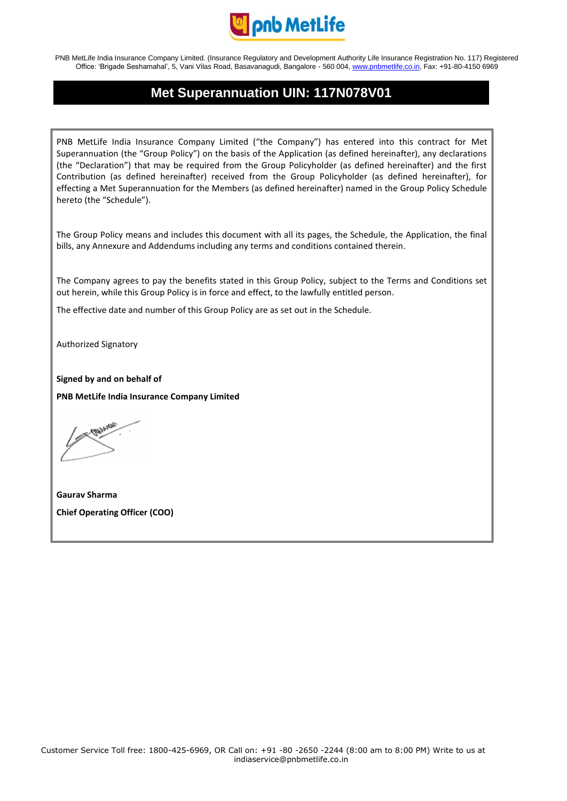

## **Met Superannuation UIN: 117N078V01**

PNB MetLife India Insurance Company Limited ("the Company") has entered into this contract for Met Superannuation (the "Group Policy") on the basis of the Application (as defined hereinafter), any declarations (the "Declaration") that may be required from the Group Policyholder (as defined hereinafter) and the first Contribution (as defined hereinafter) received from the Group Policyholder (as defined hereinafter), for effecting a Met Superannuation for the Members (as defined hereinafter) named in the Group Policy Schedule hereto (the "Schedule").

The Group Policy means and includes this document with all its pages, the Schedule, the Application, the final bills, any Annexure and Addendums including any terms and conditions contained therein.

The Company agrees to pay the benefits stated in this Group Policy, subject to the Terms and Conditions set out herein, while this Group Policy is in force and effect, to the lawfully entitled person.

The effective date and number of this Group Policy are as set out in the Schedule.

Authorized Signatory

**Signed by and on behalf of PNB MetLife India Insurance Company Limited**

**Gaurav Sharma Chief Operating Officer (COO)**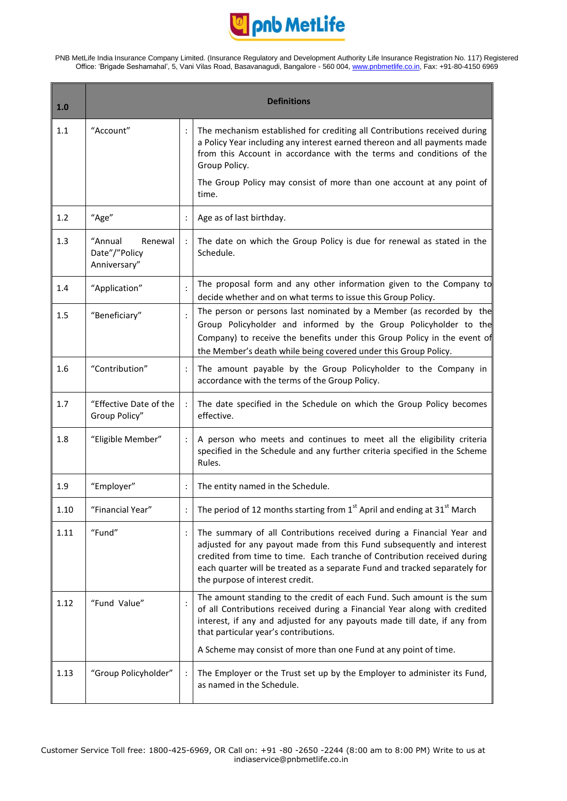

T

<u> Tanzania</u>

| 1.0  |                                                     | <b>Definitions</b>                                                                                                                                                                                                                                                                                                                          |
|------|-----------------------------------------------------|---------------------------------------------------------------------------------------------------------------------------------------------------------------------------------------------------------------------------------------------------------------------------------------------------------------------------------------------|
| 1.1  | "Account"                                           | The mechanism established for crediting all Contributions received during<br>a Policy Year including any interest earned thereon and all payments made<br>from this Account in accordance with the terms and conditions of the<br>Group Policy.                                                                                             |
|      |                                                     | The Group Policy may consist of more than one account at any point of<br>time.                                                                                                                                                                                                                                                              |
| 1.2  | "Age"                                               | Age as of last birthday.                                                                                                                                                                                                                                                                                                                    |
| 1.3  | "Annual<br>Renewal<br>Date"/"Policy<br>Anniversary" | The date on which the Group Policy is due for renewal as stated in the<br>Schedule.                                                                                                                                                                                                                                                         |
| 1.4  | "Application"                                       | The proposal form and any other information given to the Company to<br>decide whether and on what terms to issue this Group Policy.                                                                                                                                                                                                         |
| 1.5  | "Beneficiary"                                       | The person or persons last nominated by a Member (as recorded by the<br>Group Policyholder and informed by the Group Policyholder to the<br>Company) to receive the benefits under this Group Policy in the event of<br>the Member's death while being covered under this Group Policy.                                                     |
| 1.6  | "Contribution"                                      | The amount payable by the Group Policyholder to the Company in<br>accordance with the terms of the Group Policy.                                                                                                                                                                                                                            |
| 1.7  | "Effective Date of the<br>Group Policy"             | The date specified in the Schedule on which the Group Policy becomes<br>effective.                                                                                                                                                                                                                                                          |
| 1.8  | "Eligible Member"                                   | A person who meets and continues to meet all the eligibility criteria<br>specified in the Schedule and any further criteria specified in the Scheme<br>Rules.                                                                                                                                                                               |
| 1.9  | "Employer"                                          | The entity named in the Schedule.                                                                                                                                                                                                                                                                                                           |
| 1.10 | "Financial Year"                                    | The period of 12 months starting from $1st$ April and ending at 31 $st$ March                                                                                                                                                                                                                                                               |
| 1.11 | "Fund"                                              | The summary of all Contributions received during a Financial Year and<br>adjusted for any payout made from this Fund subsequently and interest<br>credited from time to time. Each tranche of Contribution received during<br>each quarter will be treated as a separate Fund and tracked separately for<br>the purpose of interest credit. |
| 1.12 | "Fund Value"                                        | The amount standing to the credit of each Fund. Such amount is the sum<br>of all Contributions received during a Financial Year along with credited<br>interest, if any and adjusted for any payouts made till date, if any from<br>that particular year's contributions.                                                                   |
|      |                                                     | A Scheme may consist of more than one Fund at any point of time.                                                                                                                                                                                                                                                                            |
| 1.13 | "Group Policyholder"                                | The Employer or the Trust set up by the Employer to administer its Fund,<br>as named in the Schedule.                                                                                                                                                                                                                                       |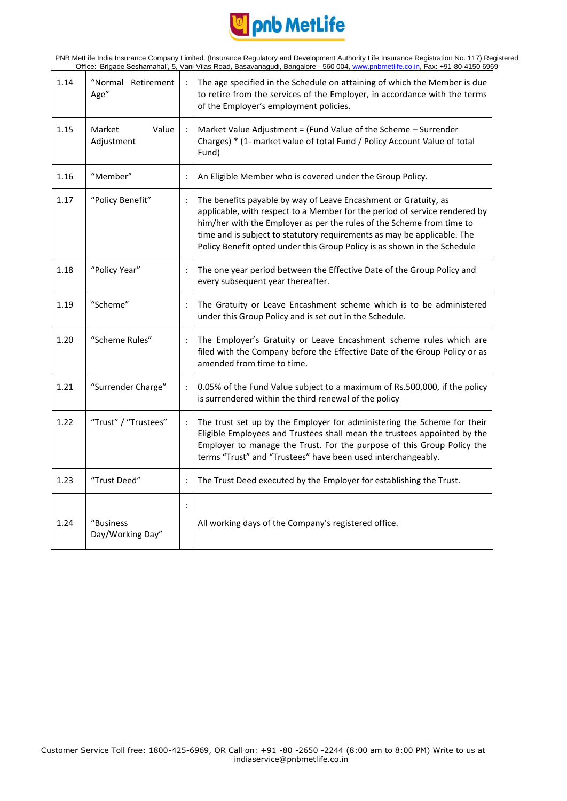

| 1.14 | "Normal Retirement<br>Age"    |                | The age specified in the Schedule on attaining of which the Member is due<br>to retire from the services of the Employer, in accordance with the terms<br>of the Employer's employment policies.                                                                                                                                                                              |
|------|-------------------------------|----------------|-------------------------------------------------------------------------------------------------------------------------------------------------------------------------------------------------------------------------------------------------------------------------------------------------------------------------------------------------------------------------------|
| 1.15 | Value<br>Market<br>Adjustment |                | Market Value Adjustment = (Fund Value of the Scheme - Surrender<br>Charges) * (1- market value of total Fund / Policy Account Value of total<br>Fund)                                                                                                                                                                                                                         |
| 1.16 | "Member"                      |                | An Eligible Member who is covered under the Group Policy.                                                                                                                                                                                                                                                                                                                     |
| 1.17 | "Policy Benefit"              |                | The benefits payable by way of Leave Encashment or Gratuity, as<br>applicable, with respect to a Member for the period of service rendered by<br>him/her with the Employer as per the rules of the Scheme from time to<br>time and is subject to statutory requirements as may be applicable. The<br>Policy Benefit opted under this Group Policy is as shown in the Schedule |
| 1.18 | "Policy Year"                 |                | The one year period between the Effective Date of the Group Policy and<br>every subsequent year thereafter.                                                                                                                                                                                                                                                                   |
| 1.19 | "Scheme"                      |                | The Gratuity or Leave Encashment scheme which is to be administered<br>under this Group Policy and is set out in the Schedule.                                                                                                                                                                                                                                                |
| 1.20 | "Scheme Rules"                |                | The Employer's Gratuity or Leave Encashment scheme rules which are<br>filed with the Company before the Effective Date of the Group Policy or as<br>amended from time to time.                                                                                                                                                                                                |
| 1.21 | "Surrender Charge"            |                | 0.05% of the Fund Value subject to a maximum of Rs.500,000, if the policy<br>is surrendered within the third renewal of the policy                                                                                                                                                                                                                                            |
| 1.22 | "Trust" / "Trustees"          | $\ddot{\cdot}$ | The trust set up by the Employer for administering the Scheme for their<br>Eligible Employees and Trustees shall mean the trustees appointed by the<br>Employer to manage the Trust. For the purpose of this Group Policy the<br>terms "Trust" and "Trustees" have been used interchangeably.                                                                                 |
| 1.23 | "Trust Deed"                  |                | The Trust Deed executed by the Employer for establishing the Trust.                                                                                                                                                                                                                                                                                                           |
| 1.24 | "Business<br>Day/Working Day" |                | All working days of the Company's registered office.                                                                                                                                                                                                                                                                                                                          |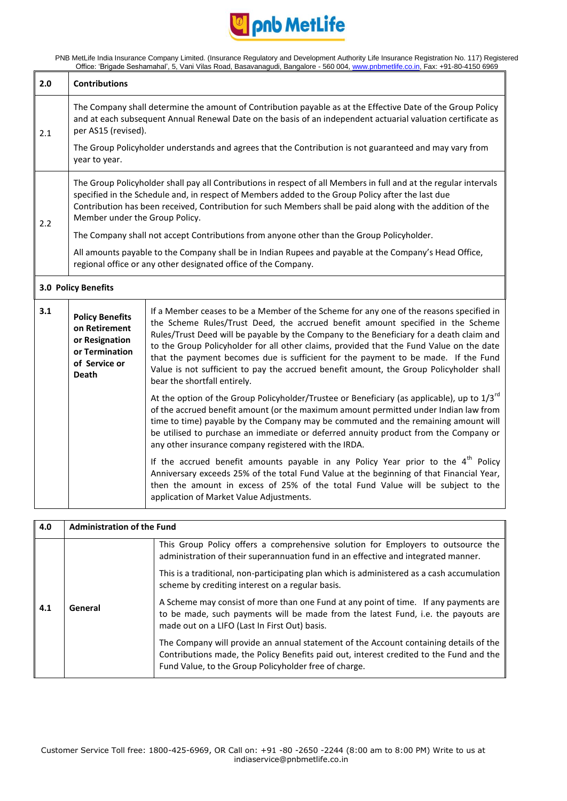

| 2.0 | <b>Contributions</b>                                                                                                                                                                                                                                                                                                                                                   |                                                                                                                                                                                                                                                                                                                                                                                                                                                                                                                                                                                     |  |  |
|-----|------------------------------------------------------------------------------------------------------------------------------------------------------------------------------------------------------------------------------------------------------------------------------------------------------------------------------------------------------------------------|-------------------------------------------------------------------------------------------------------------------------------------------------------------------------------------------------------------------------------------------------------------------------------------------------------------------------------------------------------------------------------------------------------------------------------------------------------------------------------------------------------------------------------------------------------------------------------------|--|--|
| 2.1 | The Company shall determine the amount of Contribution payable as at the Effective Date of the Group Policy<br>and at each subsequent Annual Renewal Date on the basis of an independent actuarial valuation certificate as<br>per AS15 (revised).<br>The Group Policyholder understands and agrees that the Contribution is not guaranteed and may vary from          |                                                                                                                                                                                                                                                                                                                                                                                                                                                                                                                                                                                     |  |  |
|     | year to year.                                                                                                                                                                                                                                                                                                                                                          |                                                                                                                                                                                                                                                                                                                                                                                                                                                                                                                                                                                     |  |  |
| 2.2 | The Group Policyholder shall pay all Contributions in respect of all Members in full and at the regular intervals<br>specified in the Schedule and, in respect of Members added to the Group Policy after the last due<br>Contribution has been received, Contribution for such Members shall be paid along with the addition of the<br>Member under the Group Policy. |                                                                                                                                                                                                                                                                                                                                                                                                                                                                                                                                                                                     |  |  |
|     | The Company shall not accept Contributions from anyone other than the Group Policyholder.                                                                                                                                                                                                                                                                              |                                                                                                                                                                                                                                                                                                                                                                                                                                                                                                                                                                                     |  |  |
|     | All amounts payable to the Company shall be in Indian Rupees and payable at the Company's Head Office,<br>regional office or any other designated office of the Company.                                                                                                                                                                                               |                                                                                                                                                                                                                                                                                                                                                                                                                                                                                                                                                                                     |  |  |
|     | 3.0 Policy Benefits                                                                                                                                                                                                                                                                                                                                                    |                                                                                                                                                                                                                                                                                                                                                                                                                                                                                                                                                                                     |  |  |
| 3.1 | <b>Policy Benefits</b><br>on Retirement<br>or Resignation<br>or Termination<br>of Service or<br><b>Death</b>                                                                                                                                                                                                                                                           | If a Member ceases to be a Member of the Scheme for any one of the reasons specified in<br>the Scheme Rules/Trust Deed, the accrued benefit amount specified in the Scheme<br>Rules/Trust Deed will be payable by the Company to the Beneficiary for a death claim and<br>to the Group Policyholder for all other claims, provided that the Fund Value on the date<br>that the payment becomes due is sufficient for the payment to be made. If the Fund<br>Value is not sufficient to pay the accrued benefit amount, the Group Policyholder shall<br>bear the shortfall entirely. |  |  |
|     |                                                                                                                                                                                                                                                                                                                                                                        | At the option of the Group Policyholder/Trustee or Beneficiary (as applicable), up to 1/3 <sup>rd</sup><br>of the accrued benefit amount (or the maximum amount permitted under Indian law from<br>time to time) payable by the Company may be commuted and the remaining amount will<br>be utilised to purchase an immediate or deferred annuity product from the Company or<br>any other insurance company registered with the IRDA.                                                                                                                                              |  |  |
|     |                                                                                                                                                                                                                                                                                                                                                                        | If the accrued benefit amounts payable in any Policy Year prior to the $4th$ Policy<br>Anniversary exceeds 25% of the total Fund Value at the beginning of that Financial Year,<br>then the amount in excess of 25% of the total Fund Value will be subject to the<br>application of Market Value Adjustments.                                                                                                                                                                                                                                                                      |  |  |

| 4.0 | <b>Administration of the Fund</b> |                                                                                                                                                                                                                                           |
|-----|-----------------------------------|-------------------------------------------------------------------------------------------------------------------------------------------------------------------------------------------------------------------------------------------|
| 4.1 | General                           | This Group Policy offers a comprehensive solution for Employers to outsource the<br>administration of their superannuation fund in an effective and integrated manner.                                                                    |
|     |                                   | This is a traditional, non-participating plan which is administered as a cash accumulation<br>scheme by crediting interest on a regular basis.                                                                                            |
|     |                                   | A Scheme may consist of more than one Fund at any point of time. If any payments are<br>to be made, such payments will be made from the latest Fund, i.e. the payouts are<br>made out on a LIFO (Last In First Out) basis.                |
|     |                                   | The Company will provide an annual statement of the Account containing details of the<br>Contributions made, the Policy Benefits paid out, interest credited to the Fund and the<br>Fund Value, to the Group Policyholder free of charge. |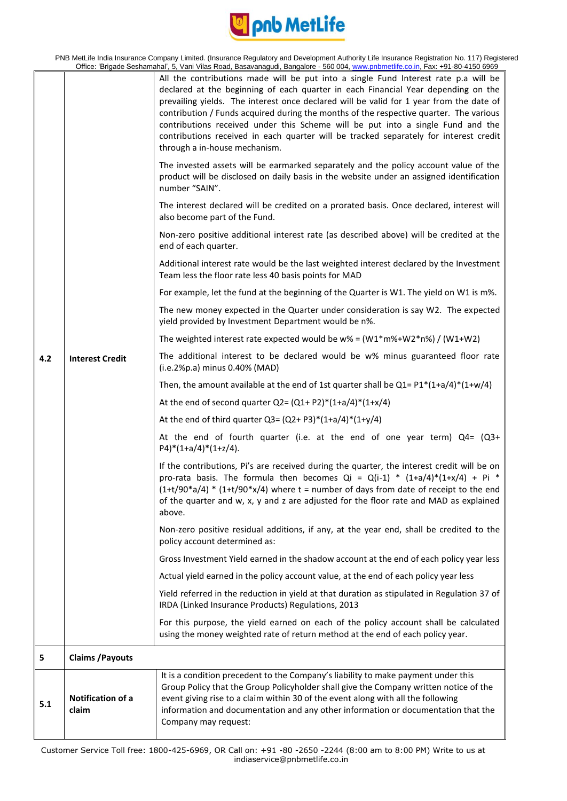

| PNB MetLife India Insurance Company Limited. (Insurance Regulatory and Development Authority Life Insurance Registration No. 117) Registered |
|----------------------------------------------------------------------------------------------------------------------------------------------|
| Office: 'Brigade Seshamahal', 5, Vani Vilas Road, Basavanagudi, Bangalore - 560 004, www.pnbmetlife.co.in, Fax: +91-80-4150 6969             |

| 4.2 | <b>Interest Credit</b>     | All the contributions made will be put into a single Fund Interest rate p.a will be<br>declared at the beginning of each quarter in each Financial Year depending on the<br>prevailing yields. The interest once declared will be valid for 1 year from the date of<br>contribution / Funds acquired during the months of the respective quarter. The various<br>contributions received under this Scheme will be put into a single Fund and the<br>contributions received in each quarter will be tracked separately for interest credit<br>through a in-house mechanism.<br>The invested assets will be earmarked separately and the policy account value of the<br>product will be disclosed on daily basis in the website under an assigned identification<br>number "SAIN".<br>The interest declared will be credited on a prorated basis. Once declared, interest will<br>also become part of the Fund.<br>Non-zero positive additional interest rate (as described above) will be credited at the<br>end of each quarter.<br>Additional interest rate would be the last weighted interest declared by the Investment<br>Team less the floor rate less 40 basis points for MAD<br>For example, let the fund at the beginning of the Quarter is W1. The yield on W1 is m%.<br>The new money expected in the Quarter under consideration is say W2. The expected<br>yield provided by Investment Department would be n%.<br>The weighted interest rate expected would be $w$ % = $(W1*m%+W2*n%)$ / $(W1+W2)$<br>The additional interest to be declared would be w% minus guaranteed floor rate<br>(i.e.2%p.a) minus 0.40% (MAD)<br>Then, the amount available at the end of 1st quarter shall be $Q1 = P1*(1+a/4)*(1+w/4)$<br>At the end of second quarter $Q2 = (Q1 + P2)^*(1+a/4)^*(1+x/4)$<br>At the end of third quarter $Q3 = (Q2 + P3)*(1+a/4)*(1+y/4)$<br>At the end of fourth quarter (i.e. at the end of one year term) $Q4 = (Q3 +$<br>$P4$ <sup>*</sup> (1+a/4) <sup>*</sup> (1+z/4).<br>If the contributions, Pi's are received during the quarter, the interest credit will be on<br>pro-rata basis. The formula then becomes $Qi = Q(i-1) * (1+a/4) * (1+x/4) + Pi *$<br>$(1+t/90^*a/4)$ * $(1+t/90^*x/4)$ where t = number of days from date of receipt to the end<br>of the quarter and w, x, y and z are adjusted for the floor rate and MAD as explained<br>above.<br>Non-zero positive residual additions, if any, at the year end, shall be credited to the<br>policy account determined as:<br>Gross Investment Yield earned in the shadow account at the end of each policy year less<br>Actual yield earned in the policy account value, at the end of each policy year less<br>Yield referred in the reduction in yield at that duration as stipulated in Regulation 37 of<br>IRDA (Linked Insurance Products) Regulations, 2013 |
|-----|----------------------------|--------------------------------------------------------------------------------------------------------------------------------------------------------------------------------------------------------------------------------------------------------------------------------------------------------------------------------------------------------------------------------------------------------------------------------------------------------------------------------------------------------------------------------------------------------------------------------------------------------------------------------------------------------------------------------------------------------------------------------------------------------------------------------------------------------------------------------------------------------------------------------------------------------------------------------------------------------------------------------------------------------------------------------------------------------------------------------------------------------------------------------------------------------------------------------------------------------------------------------------------------------------------------------------------------------------------------------------------------------------------------------------------------------------------------------------------------------------------------------------------------------------------------------------------------------------------------------------------------------------------------------------------------------------------------------------------------------------------------------------------------------------------------------------------------------------------------------------------------------------------------------------------------------------------------------------------------------------------------------------------------------------------------------------------------------------------------------------------------------------------------------------------------------------------------------------------------------------------------------------------------------------------------------------------------------------------------------------------------------------------------------------------------------------------------------------------------------------------------------------------------------------------------------------------------------------------------------------------------------------------------------------------------------------------------------------------------------------------------------------------------------------------------------------------------------------------------------------------------------------|
|     |                            |                                                                                                                                                                                                                                                                                                                                                                                                                                                                                                                                                                                                                                                                                                                                                                                                                                                                                                                                                                                                                                                                                                                                                                                                                                                                                                                                                                                                                                                                                                                                                                                                                                                                                                                                                                                                                                                                                                                                                                                                                                                                                                                                                                                                                                                                                                                                                                                                                                                                                                                                                                                                                                                                                                                                                                                                                                                              |
|     |                            | For this purpose, the yield earned on each of the policy account shall be calculated<br>using the money weighted rate of return method at the end of each policy year.                                                                                                                                                                                                                                                                                                                                                                                                                                                                                                                                                                                                                                                                                                                                                                                                                                                                                                                                                                                                                                                                                                                                                                                                                                                                                                                                                                                                                                                                                                                                                                                                                                                                                                                                                                                                                                                                                                                                                                                                                                                                                                                                                                                                                                                                                                                                                                                                                                                                                                                                                                                                                                                                                       |
| 5   | <b>Claims / Payouts</b>    |                                                                                                                                                                                                                                                                                                                                                                                                                                                                                                                                                                                                                                                                                                                                                                                                                                                                                                                                                                                                                                                                                                                                                                                                                                                                                                                                                                                                                                                                                                                                                                                                                                                                                                                                                                                                                                                                                                                                                                                                                                                                                                                                                                                                                                                                                                                                                                                                                                                                                                                                                                                                                                                                                                                                                                                                                                                              |
| 5.1 | Notification of a<br>claim | It is a condition precedent to the Company's liability to make payment under this<br>Group Policy that the Group Policyholder shall give the Company written notice of the<br>event giving rise to a claim within 30 of the event along with all the following<br>information and documentation and any other information or documentation that the<br>Company may request:                                                                                                                                                                                                                                                                                                                                                                                                                                                                                                                                                                                                                                                                                                                                                                                                                                                                                                                                                                                                                                                                                                                                                                                                                                                                                                                                                                                                                                                                                                                                                                                                                                                                                                                                                                                                                                                                                                                                                                                                                                                                                                                                                                                                                                                                                                                                                                                                                                                                                  |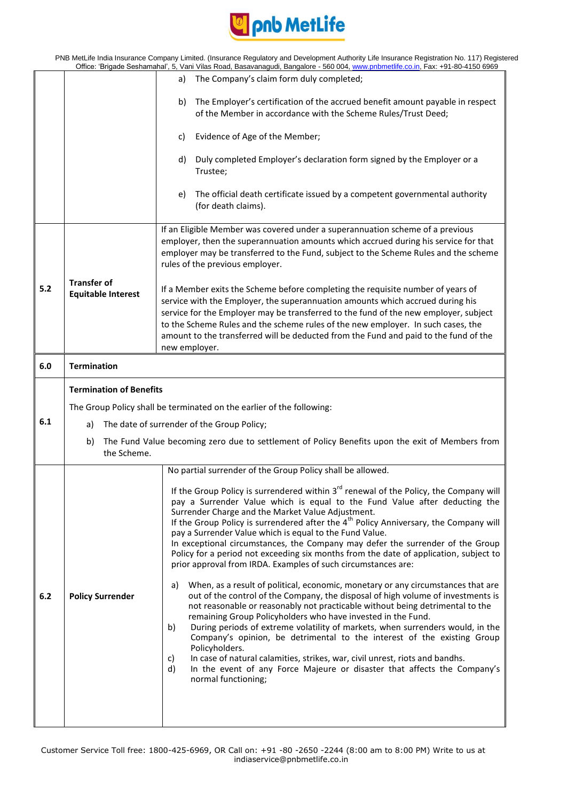

|                                                                                                                      |                                                                       | PNB MetLife India Insurance Company Limited. (Insurance Regulatory and Development Authority Life Insurance Registration No. 117) Registered<br>Office: 'Brigade Seshamahal', 5, Vani Vilas Road, Basavanagudi, Bangalore - 560 004, www.pnbmetlife.co.in, Fax: +91-80-4150 6969                                                                                                                                                                                                                                                                                                                                                                                                                                |  |  |
|----------------------------------------------------------------------------------------------------------------------|-----------------------------------------------------------------------|-----------------------------------------------------------------------------------------------------------------------------------------------------------------------------------------------------------------------------------------------------------------------------------------------------------------------------------------------------------------------------------------------------------------------------------------------------------------------------------------------------------------------------------------------------------------------------------------------------------------------------------------------------------------------------------------------------------------|--|--|
|                                                                                                                      |                                                                       | The Company's claim form duly completed;<br>a)                                                                                                                                                                                                                                                                                                                                                                                                                                                                                                                                                                                                                                                                  |  |  |
|                                                                                                                      |                                                                       | The Employer's certification of the accrued benefit amount payable in respect<br>b)<br>of the Member in accordance with the Scheme Rules/Trust Deed;                                                                                                                                                                                                                                                                                                                                                                                                                                                                                                                                                            |  |  |
|                                                                                                                      |                                                                       | Evidence of Age of the Member;<br>C)                                                                                                                                                                                                                                                                                                                                                                                                                                                                                                                                                                                                                                                                            |  |  |
|                                                                                                                      |                                                                       | Duly completed Employer's declaration form signed by the Employer or a<br>d)<br>Trustee;                                                                                                                                                                                                                                                                                                                                                                                                                                                                                                                                                                                                                        |  |  |
|                                                                                                                      |                                                                       | The official death certificate issued by a competent governmental authority<br>e)<br>(for death claims).                                                                                                                                                                                                                                                                                                                                                                                                                                                                                                                                                                                                        |  |  |
|                                                                                                                      |                                                                       | If an Eligible Member was covered under a superannuation scheme of a previous<br>employer, then the superannuation amounts which accrued during his service for that<br>employer may be transferred to the Fund, subject to the Scheme Rules and the scheme<br>rules of the previous employer.                                                                                                                                                                                                                                                                                                                                                                                                                  |  |  |
| 5.2                                                                                                                  | <b>Transfer of</b><br><b>Equitable Interest</b>                       | If a Member exits the Scheme before completing the requisite number of years of<br>service with the Employer, the superannuation amounts which accrued during his<br>service for the Employer may be transferred to the fund of the new employer, subject<br>to the Scheme Rules and the scheme rules of the new employer. In such cases, the<br>amount to the transferred will be deducted from the Fund and paid to the fund of the<br>new employer.                                                                                                                                                                                                                                                          |  |  |
| 6.0                                                                                                                  | <b>Termination</b>                                                    |                                                                                                                                                                                                                                                                                                                                                                                                                                                                                                                                                                                                                                                                                                                 |  |  |
|                                                                                                                      | <b>Termination of Benefits</b>                                        |                                                                                                                                                                                                                                                                                                                                                                                                                                                                                                                                                                                                                                                                                                                 |  |  |
|                                                                                                                      | The Group Policy shall be terminated on the earlier of the following: |                                                                                                                                                                                                                                                                                                                                                                                                                                                                                                                                                                                                                                                                                                                 |  |  |
| 6.1                                                                                                                  | The date of surrender of the Group Policy;<br>a)                      |                                                                                                                                                                                                                                                                                                                                                                                                                                                                                                                                                                                                                                                                                                                 |  |  |
| The Fund Value becoming zero due to settlement of Policy Benefits upon the exit of Members from<br>b)<br>the Scheme. |                                                                       |                                                                                                                                                                                                                                                                                                                                                                                                                                                                                                                                                                                                                                                                                                                 |  |  |
|                                                                                                                      |                                                                       | No partial surrender of the Group Policy shall be allowed.                                                                                                                                                                                                                                                                                                                                                                                                                                                                                                                                                                                                                                                      |  |  |
|                                                                                                                      |                                                                       | If the Group Policy is surrendered within $3rd$ renewal of the Policy, the Company will<br>pay a Surrender Value which is equal to the Fund Value after deducting the<br>Surrender Charge and the Market Value Adjustment.<br>If the Group Policy is surrendered after the 4 <sup>th</sup> Policy Anniversary, the Company will<br>pay a Surrender Value which is equal to the Fund Value.<br>In exceptional circumstances, the Company may defer the surrender of the Group<br>Policy for a period not exceeding six months from the date of application, subject to<br>prior approval from IRDA. Examples of such circumstances are:                                                                          |  |  |
| 6.2                                                                                                                  | <b>Policy Surrender</b>                                               | When, as a result of political, economic, monetary or any circumstances that are<br>a)<br>out of the control of the Company, the disposal of high volume of investments is<br>not reasonable or reasonably not practicable without being detrimental to the<br>remaining Group Policyholders who have invested in the Fund.<br>During periods of extreme volatility of markets, when surrenders would, in the<br>b)<br>Company's opinion, be detrimental to the interest of the existing Group<br>Policyholders.<br>In case of natural calamities, strikes, war, civil unrest, riots and bandhs.<br>C)<br>In the event of any Force Majeure or disaster that affects the Company's<br>d)<br>normal functioning; |  |  |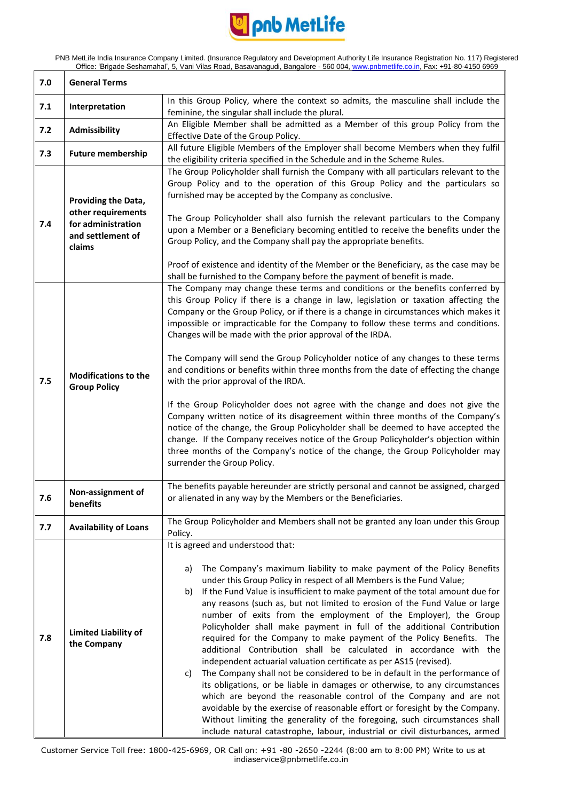

| 7.0 | <b>General Terms</b>                                                                           |                                                                                                                                                                                                                                                                                                                                                                                                                                                                                                                                                                                                                                                                                                                                                                                                                                                                                                                                                                                                                                                                                                                                                                                                                        |
|-----|------------------------------------------------------------------------------------------------|------------------------------------------------------------------------------------------------------------------------------------------------------------------------------------------------------------------------------------------------------------------------------------------------------------------------------------------------------------------------------------------------------------------------------------------------------------------------------------------------------------------------------------------------------------------------------------------------------------------------------------------------------------------------------------------------------------------------------------------------------------------------------------------------------------------------------------------------------------------------------------------------------------------------------------------------------------------------------------------------------------------------------------------------------------------------------------------------------------------------------------------------------------------------------------------------------------------------|
| 7.1 | Interpretation                                                                                 | In this Group Policy, where the context so admits, the masculine shall include the                                                                                                                                                                                                                                                                                                                                                                                                                                                                                                                                                                                                                                                                                                                                                                                                                                                                                                                                                                                                                                                                                                                                     |
|     |                                                                                                | feminine, the singular shall include the plural.                                                                                                                                                                                                                                                                                                                                                                                                                                                                                                                                                                                                                                                                                                                                                                                                                                                                                                                                                                                                                                                                                                                                                                       |
| 7.2 | Admissibility                                                                                  | An Eligible Member shall be admitted as a Member of this group Policy from the                                                                                                                                                                                                                                                                                                                                                                                                                                                                                                                                                                                                                                                                                                                                                                                                                                                                                                                                                                                                                                                                                                                                         |
|     |                                                                                                | Effective Date of the Group Policy.                                                                                                                                                                                                                                                                                                                                                                                                                                                                                                                                                                                                                                                                                                                                                                                                                                                                                                                                                                                                                                                                                                                                                                                    |
| 7.3 | <b>Future membership</b>                                                                       | All future Eligible Members of the Employer shall become Members when they fulfil<br>the eligibility criteria specified in the Schedule and in the Scheme Rules.                                                                                                                                                                                                                                                                                                                                                                                                                                                                                                                                                                                                                                                                                                                                                                                                                                                                                                                                                                                                                                                       |
| 7.4 | Providing the Data,<br>other requirements<br>for administration<br>and settlement of<br>claims | The Group Policyholder shall furnish the Company with all particulars relevant to the<br>Group Policy and to the operation of this Group Policy and the particulars so<br>furnished may be accepted by the Company as conclusive.<br>The Group Policyholder shall also furnish the relevant particulars to the Company<br>upon a Member or a Beneficiary becoming entitled to receive the benefits under the<br>Group Policy, and the Company shall pay the appropriate benefits.<br>Proof of existence and identity of the Member or the Beneficiary, as the case may be<br>shall be furnished to the Company before the payment of benefit is made.                                                                                                                                                                                                                                                                                                                                                                                                                                                                                                                                                                  |
| 7.5 | <b>Modifications to the</b><br><b>Group Policy</b>                                             | The Company may change these terms and conditions or the benefits conferred by<br>this Group Policy if there is a change in law, legislation or taxation affecting the<br>Company or the Group Policy, or if there is a change in circumstances which makes it<br>impossible or impracticable for the Company to follow these terms and conditions.<br>Changes will be made with the prior approval of the IRDA.<br>The Company will send the Group Policyholder notice of any changes to these terms<br>and conditions or benefits within three months from the date of effecting the change<br>with the prior approval of the IRDA.<br>If the Group Policyholder does not agree with the change and does not give the<br>Company written notice of its disagreement within three months of the Company's<br>notice of the change, the Group Policyholder shall be deemed to have accepted the<br>change. If the Company receives notice of the Group Policyholder's objection within<br>three months of the Company's notice of the change, the Group Policyholder may<br>surrender the Group Policy.                                                                                                                |
| 7.6 | Non-assignment of<br>benefits                                                                  | The benefits payable hereunder are strictly personal and cannot be assigned, charged<br>or alienated in any way by the Members or the Beneficiaries.                                                                                                                                                                                                                                                                                                                                                                                                                                                                                                                                                                                                                                                                                                                                                                                                                                                                                                                                                                                                                                                                   |
| 7.7 | <b>Availability of Loans</b>                                                                   | The Group Policyholder and Members shall not be granted any loan under this Group<br>Policy.                                                                                                                                                                                                                                                                                                                                                                                                                                                                                                                                                                                                                                                                                                                                                                                                                                                                                                                                                                                                                                                                                                                           |
| 7.8 | <b>Limited Liability of</b><br>the Company                                                     | It is agreed and understood that:<br>The Company's maximum liability to make payment of the Policy Benefits<br>a)<br>under this Group Policy in respect of all Members is the Fund Value;<br>If the Fund Value is insufficient to make payment of the total amount due for<br>b)<br>any reasons (such as, but not limited to erosion of the Fund Value or large<br>number of exits from the employment of the Employer), the Group<br>Policyholder shall make payment in full of the additional Contribution<br>required for the Company to make payment of the Policy Benefits. The<br>additional Contribution shall be calculated in accordance with the<br>independent actuarial valuation certificate as per AS15 (revised).<br>The Company shall not be considered to be in default in the performance of<br>c)<br>its obligations, or be liable in damages or otherwise, to any circumstances<br>which are beyond the reasonable control of the Company and are not<br>avoidable by the exercise of reasonable effort or foresight by the Company.<br>Without limiting the generality of the foregoing, such circumstances shall<br>include natural catastrophe, labour, industrial or civil disturbances, armed |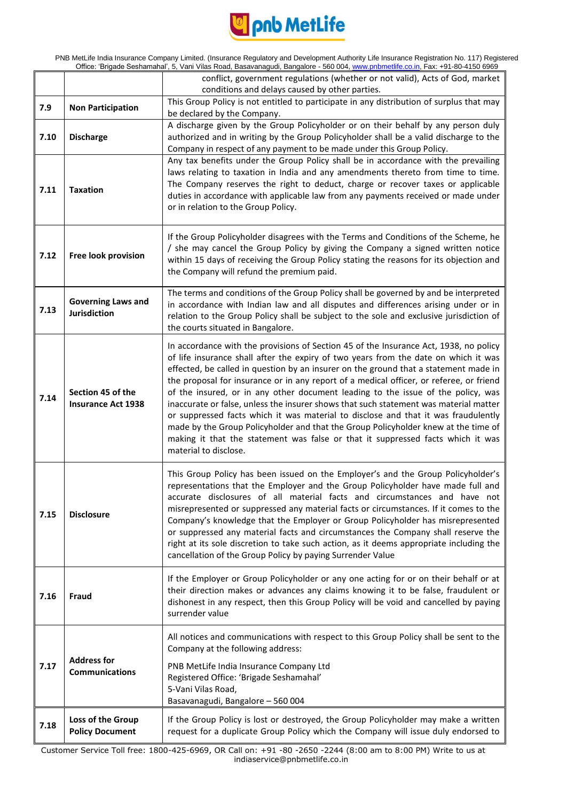

| PNB MetLife India Insurance Company Limited. (Insurance Regulatory and Development Authority Life Insurance Registration No. 117) Registered |
|----------------------------------------------------------------------------------------------------------------------------------------------|
| Office: 'Brigade Seshamahal', 5, Vani Vilas Road, Basavanagudi, Bangalore - 560 004, www.pnbmetlife.co.in, Fax: +91-80-4150 6969             |

|      |                                                | conflict, government regulations (whether or not valid), Acts of God, market<br>conditions and delays caused by other parties.                                                                                                                                                                                                                                                                                                                                                                                                                                                                                                                                                                                                                                                                                                       |
|------|------------------------------------------------|--------------------------------------------------------------------------------------------------------------------------------------------------------------------------------------------------------------------------------------------------------------------------------------------------------------------------------------------------------------------------------------------------------------------------------------------------------------------------------------------------------------------------------------------------------------------------------------------------------------------------------------------------------------------------------------------------------------------------------------------------------------------------------------------------------------------------------------|
| 7.9  | <b>Non Participation</b>                       | This Group Policy is not entitled to participate in any distribution of surplus that may                                                                                                                                                                                                                                                                                                                                                                                                                                                                                                                                                                                                                                                                                                                                             |
|      |                                                | be declared by the Company.                                                                                                                                                                                                                                                                                                                                                                                                                                                                                                                                                                                                                                                                                                                                                                                                          |
| 7.10 | <b>Discharge</b>                               | A discharge given by the Group Policyholder or on their behalf by any person duly<br>authorized and in writing by the Group Policyholder shall be a valid discharge to the<br>Company in respect of any payment to be made under this Group Policy.                                                                                                                                                                                                                                                                                                                                                                                                                                                                                                                                                                                  |
| 7.11 | <b>Taxation</b>                                | Any tax benefits under the Group Policy shall be in accordance with the prevailing<br>laws relating to taxation in India and any amendments thereto from time to time.<br>The Company reserves the right to deduct, charge or recover taxes or applicable<br>duties in accordance with applicable law from any payments received or made under<br>or in relation to the Group Policy.                                                                                                                                                                                                                                                                                                                                                                                                                                                |
| 7.12 | Free look provision                            | If the Group Policyholder disagrees with the Terms and Conditions of the Scheme, he<br>/ she may cancel the Group Policy by giving the Company a signed written notice<br>within 15 days of receiving the Group Policy stating the reasons for its objection and<br>the Company will refund the premium paid.                                                                                                                                                                                                                                                                                                                                                                                                                                                                                                                        |
| 7.13 | <b>Governing Laws and</b><br>Jurisdiction      | The terms and conditions of the Group Policy shall be governed by and be interpreted<br>in accordance with Indian law and all disputes and differences arising under or in<br>relation to the Group Policy shall be subject to the sole and exclusive jurisdiction of<br>the courts situated in Bangalore.                                                                                                                                                                                                                                                                                                                                                                                                                                                                                                                           |
| 7.14 | Section 45 of the<br><b>Insurance Act 1938</b> | In accordance with the provisions of Section 45 of the Insurance Act, 1938, no policy<br>of life insurance shall after the expiry of two years from the date on which it was<br>effected, be called in question by an insurer on the ground that a statement made in<br>the proposal for insurance or in any report of a medical officer, or referee, or friend<br>of the insured, or in any other document leading to the issue of the policy, was<br>inaccurate or false, unless the insurer shows that such statement was material matter<br>or suppressed facts which it was material to disclose and that it was fraudulently<br>made by the Group Policyholder and that the Group Policyholder knew at the time of<br>making it that the statement was false or that it suppressed facts which it was<br>material to disclose. |
| 7.15 | <b>Disclosure</b>                              | This Group Policy has been issued on the Employer's and the Group Policyholder's<br>representations that the Employer and the Group Policyholder have made full and<br>accurate disclosures of all material facts and circumstances and have not<br>misrepresented or suppressed any material facts or circumstances. If it comes to the<br>Company's knowledge that the Employer or Group Policyholder has misrepresented<br>or suppressed any material facts and circumstances the Company shall reserve the<br>right at its sole discretion to take such action, as it deems appropriate including the<br>cancellation of the Group Policy by paying Surrender Value                                                                                                                                                              |
| 7.16 | Fraud                                          | If the Employer or Group Policyholder or any one acting for or on their behalf or at<br>their direction makes or advances any claims knowing it to be false, fraudulent or<br>dishonest in any respect, then this Group Policy will be void and cancelled by paying<br>surrender value                                                                                                                                                                                                                                                                                                                                                                                                                                                                                                                                               |
|      | <b>Address for</b><br><b>Communications</b>    | All notices and communications with respect to this Group Policy shall be sent to the<br>Company at the following address:                                                                                                                                                                                                                                                                                                                                                                                                                                                                                                                                                                                                                                                                                                           |
| 7.17 |                                                | PNB MetLife India Insurance Company Ltd<br>Registered Office: 'Brigade Seshamahal'<br>5-Vani Vilas Road,<br>Basavanagudi, Bangalore - 560 004                                                                                                                                                                                                                                                                                                                                                                                                                                                                                                                                                                                                                                                                                        |
| 7.18 | Loss of the Group<br><b>Policy Document</b>    | If the Group Policy is lost or destroyed, the Group Policyholder may make a written<br>request for a duplicate Group Policy which the Company will issue duly endorsed to                                                                                                                                                                                                                                                                                                                                                                                                                                                                                                                                                                                                                                                            |
|      |                                                |                                                                                                                                                                                                                                                                                                                                                                                                                                                                                                                                                                                                                                                                                                                                                                                                                                      |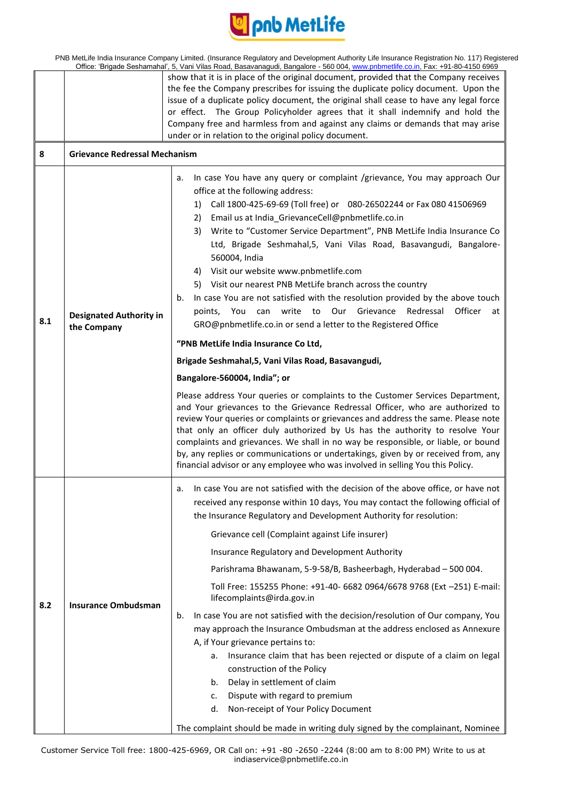

PNB MetLife India Insurance Company Limited. (Insurance Regulatory and Development Authority Life Insurance Registration No. 117) Registered<br>Office: 'Brigade Sechamabal', 5 Vani Vilas Road, Basayanagudi, Bangalore - 560,00 Office: 'Brigade Seshamahal', 5, Vani Vilas Road, Basavanagudi, Bangalore - 560 004, www.pnbmetlife.co.in, Fax: +91-80-4150 6969

|     | Onice. Brigade Seshamanar, 5, vani vilas Koau, Basavanaguul, Bangalore - 500 004, <u>www.phonielille.co.ln</u> , Fax. +91-60-4150 0909 |                                                                                                                                                                                                                                                                                                                                                                                                                                                                                                                                                                                                                                                                                                                                                                      |  |
|-----|----------------------------------------------------------------------------------------------------------------------------------------|----------------------------------------------------------------------------------------------------------------------------------------------------------------------------------------------------------------------------------------------------------------------------------------------------------------------------------------------------------------------------------------------------------------------------------------------------------------------------------------------------------------------------------------------------------------------------------------------------------------------------------------------------------------------------------------------------------------------------------------------------------------------|--|
|     |                                                                                                                                        | show that it is in place of the original document, provided that the Company receives<br>the fee the Company prescribes for issuing the duplicate policy document. Upon the<br>issue of a duplicate policy document, the original shall cease to have any legal force<br>or effect. The Group Policyholder agrees that it shall indemnify and hold the<br>Company free and harmless from and against any claims or demands that may arise<br>under or in relation to the original policy document.                                                                                                                                                                                                                                                                   |  |
| 8   | <b>Grievance Redressal Mechanism</b>                                                                                                   |                                                                                                                                                                                                                                                                                                                                                                                                                                                                                                                                                                                                                                                                                                                                                                      |  |
| 8.1 | <b>Designated Authority in</b><br>the Company                                                                                          | In case You have any query or complaint /grievance, You may approach Our<br>a.<br>office at the following address:<br>1) Call 1800-425-69-69 (Toll free) or 080-26502244 or Fax 080 41506969<br>2) Email us at India_GrievanceCell@pnbmetlife.co.in<br>Write to "Customer Service Department", PNB MetLife India Insurance Co<br>3)<br>Ltd, Brigade Seshmahal,5, Vani Vilas Road, Basavangudi, Bangalore-<br>560004, India<br>Visit our website www.pnbmetlife.com<br>4)<br>5) Visit our nearest PNB MetLife branch across the country<br>In case You are not satisfied with the resolution provided by the above touch<br>b.<br>points, You can write to Our Grievance Redressal<br>Officer<br>at<br>GRO@pnbmetlife.co.in or send a letter to the Registered Office |  |
|     |                                                                                                                                        | "PNB MetLife India Insurance Co Ltd,                                                                                                                                                                                                                                                                                                                                                                                                                                                                                                                                                                                                                                                                                                                                 |  |
|     |                                                                                                                                        | Brigade Seshmahal, 5, Vani Vilas Road, Basavangudi,                                                                                                                                                                                                                                                                                                                                                                                                                                                                                                                                                                                                                                                                                                                  |  |
|     |                                                                                                                                        | Bangalore-560004, India"; or                                                                                                                                                                                                                                                                                                                                                                                                                                                                                                                                                                                                                                                                                                                                         |  |
|     |                                                                                                                                        | Please address Your queries or complaints to the Customer Services Department,<br>and Your grievances to the Grievance Redressal Officer, who are authorized to<br>review Your queries or complaints or grievances and address the same. Please note<br>that only an officer duly authorized by Us has the authority to resolve Your<br>complaints and grievances. We shall in no way be responsible, or liable, or bound<br>by, any replies or communications or undertakings, given by or received from, any<br>financial advisor or any employee who was involved in selling You this Policy.                                                                                                                                                                     |  |
|     |                                                                                                                                        | In case You are not satisfied with the decision of the above office, or have not<br>а.<br>received any response within 10 days, You may contact the following official of<br>the Insurance Regulatory and Development Authority for resolution:                                                                                                                                                                                                                                                                                                                                                                                                                                                                                                                      |  |
|     |                                                                                                                                        | Grievance cell (Complaint against Life insurer)                                                                                                                                                                                                                                                                                                                                                                                                                                                                                                                                                                                                                                                                                                                      |  |
|     |                                                                                                                                        | Insurance Regulatory and Development Authority                                                                                                                                                                                                                                                                                                                                                                                                                                                                                                                                                                                                                                                                                                                       |  |
|     |                                                                                                                                        | Parishrama Bhawanam, 5-9-58/B, Basheerbagh, Hyderabad - 500 004.                                                                                                                                                                                                                                                                                                                                                                                                                                                                                                                                                                                                                                                                                                     |  |
| 8.2 | <b>Insurance Ombudsman</b>                                                                                                             | Toll Free: 155255 Phone: +91-40- 6682 0964/6678 9768 (Ext -251) E-mail:<br>lifecomplaints@irda.gov.in                                                                                                                                                                                                                                                                                                                                                                                                                                                                                                                                                                                                                                                                |  |
|     |                                                                                                                                        | b.<br>In case You are not satisfied with the decision/resolution of Our company, You                                                                                                                                                                                                                                                                                                                                                                                                                                                                                                                                                                                                                                                                                 |  |
|     |                                                                                                                                        | may approach the Insurance Ombudsman at the address enclosed as Annexure                                                                                                                                                                                                                                                                                                                                                                                                                                                                                                                                                                                                                                                                                             |  |
|     |                                                                                                                                        | A, if Your grievance pertains to:<br>Insurance claim that has been rejected or dispute of a claim on legal<br>а.                                                                                                                                                                                                                                                                                                                                                                                                                                                                                                                                                                                                                                                     |  |
|     |                                                                                                                                        | construction of the Policy                                                                                                                                                                                                                                                                                                                                                                                                                                                                                                                                                                                                                                                                                                                                           |  |
|     |                                                                                                                                        | Delay in settlement of claim<br>b.                                                                                                                                                                                                                                                                                                                                                                                                                                                                                                                                                                                                                                                                                                                                   |  |
|     |                                                                                                                                        | Dispute with regard to premium<br>c.                                                                                                                                                                                                                                                                                                                                                                                                                                                                                                                                                                                                                                                                                                                                 |  |
|     |                                                                                                                                        | Non-receipt of Your Policy Document<br>d.                                                                                                                                                                                                                                                                                                                                                                                                                                                                                                                                                                                                                                                                                                                            |  |
|     |                                                                                                                                        | The complaint should be made in writing duly signed by the complainant, Nominee                                                                                                                                                                                                                                                                                                                                                                                                                                                                                                                                                                                                                                                                                      |  |

Customer Service Toll free: 1800-425-6969, OR Call on: +91 -80 -2650 -2244 (8:00 am to 8:00 PM) Write to us at indiaservice@pnbmetlife.co.in